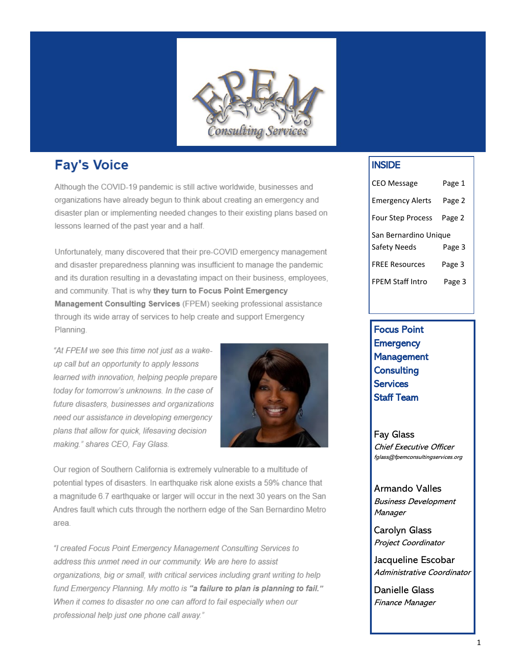

# **Fay's Voice**

Although the COVID-19 pandemic is still active worldwide, businesses and organizations have already begun to think about creating an emergency and disaster plan or implementing needed changes to their existing plans based on lessons learned of the past year and a half.

Unfortunately, many discovered that their pre-COVID emergency management and disaster preparedness planning was insufficient to manage the pandemic and its duration resulting in a devastating impact on their business, employees, and community. That is why they turn to Focus Point Emergency Management Consulting Services (FPEM) seeking professional assistance through its wide array of services to help create and support Emergency Planning.

"At FPEM we see this time not just as a wakeup call but an opportunity to apply lessons learned with innovation, helping people prepare today for tomorrow's unknowns. In the case of future disasters, businesses and organizations need our assistance in developing emergency plans that allow for quick, lifesaving decision making." shares CEO, Fay Glass.



Our region of Southern California is extremely vulnerable to a multitude of potential types of disasters. In earthquake risk alone exists a 59% chance that a magnitude 6.7 earthquake or larger will occur in the next 30 years on the San Andres fault which cuts through the northern edge of the San Bernardino Metro area.

"I created Focus Point Emergency Management Consulting Services to address this unmet need in our community. We are here to assist organizations, big or small, with critical services including grant writing to help fund Emergency Planning. My motto is "a failure to plan is planning to fail." When it comes to disaster no one can afford to fail especially when our professional help just one phone call away."

## INSIDE

| <b>CEO Message</b>                    | Page 1 |
|---------------------------------------|--------|
| <b>Emergency Alerts</b>               | Page 2 |
| <b>Four Step Process</b>              | Page 2 |
| San Bernardino Unique<br>Safety Needs | Page 3 |
| <b>FREE Resources</b>                 | Page 3 |
| <b>FPFM Staff Intro</b>               | Page 3 |

Focus Point **Emergency** Management **Consulting Services** Staff Team

Fay Glass Chief Executive Officer fglass@fpemconsultingservices.org

Armando Valles Business Development **Manager** 

Carolyn Glass Project Coordinator

Jacqueline Escobar Administrative Coordinator

Danielle Glass Finance Manager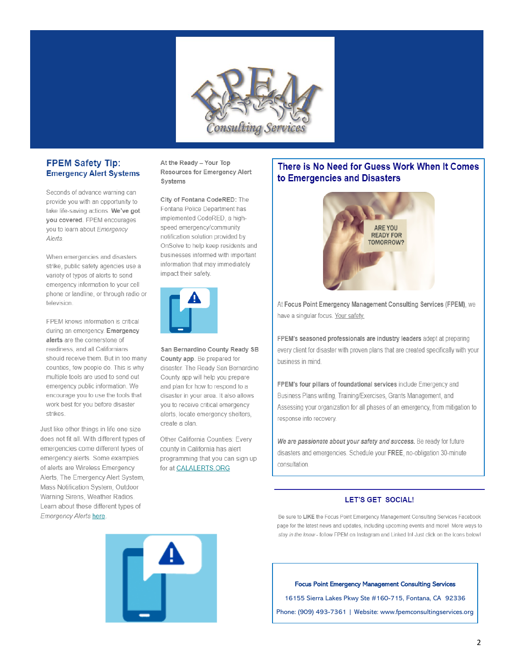

## **FPEM Safety Tip: Emergency Alert Systems**

Seconds of advance warning can provide you with an opportunity to take life-saving actions. We've got you covered. FPEM encourages you to learn about Emergency Alerts.

When emergencies and disasters strike, public safety agencies use a variety of types of alerts to send emergency information to your cell phone or landline, or through radio or television

FPEM knows information is critical during an emergency. Emergency alerts are the cornerstone of readiness, and all Californians should receive them. But in too many counties, few people do. This is why multiple tools are used to send out emergency public information. We encourage you to use the tools that work best for you before disaster strikes.

Just like other things in life one size does not fit all. With different types of emergencies come different types of emergency alerts. Some examples of alerts are Wireless Emergency Alerts, The Emergency Alert System, Mass Notification System, Outdoor Warning Sirens, Weather Radios. Learn about these different types of Emergency Alerts here

At the Ready - Your Top Resources for Emergency Alert Systems

City of Fontana CodeRED: The Fontana Police Department has implemented CodeRED, a highspeed emergency/community notification solution provided by OnSolve to help keep residents and businesses informed with important information that may immediately impact their safety.



San Bernardino County Ready SB County app. Be prepared for disaster. The Ready San Bernardino County app will help you prepare and plan for how to respond to a disaster in your area. It also allows you to receive critical emergency alerts, locate emergency shelters, create a plan.

Other California Counties: Every county in California has alert programming that you can sign up for at CALALERTS.ORG

## There is No Need for Guess Work When It Comes to Emergencies and Disasters



At Focus Point Emergency Management Consulting Services (FPEM), we have a singular focus. Your safety.

FPEM's seasoned professionals are industry leaders adept at preparing every client for disaster with proven plans that are created specifically with your business in mind.

FPEM's four pillars of foundational services include Emergency and Business Plans writing, Training/Exercises, Grants Management, and Assessing your organization for all phases of an emergency, from mitigation to response into recovery.

We are passionate about your safety and success. Be ready for future disasters and emergencies. Schedule your FREE, no-obligation 30-minute consultation.

### **LET'S GET SOCIAL!**

Be sure to LIKE the Focus Point Emergency Management Consulting Services Facebook page for the latest news and updates, including upcoming events and more! More ways to stay in the know - follow FPEM on Instagram and Linked In! Just click on the Icons below!



#### **Focus Point Emergency Management Consulting Services**

16155 Sierra Lakes Pkwy Ste #160-715, Fontana, CA 92336

Phone: (909) 493-7361 | Website: www.fpemconsultingservices.org